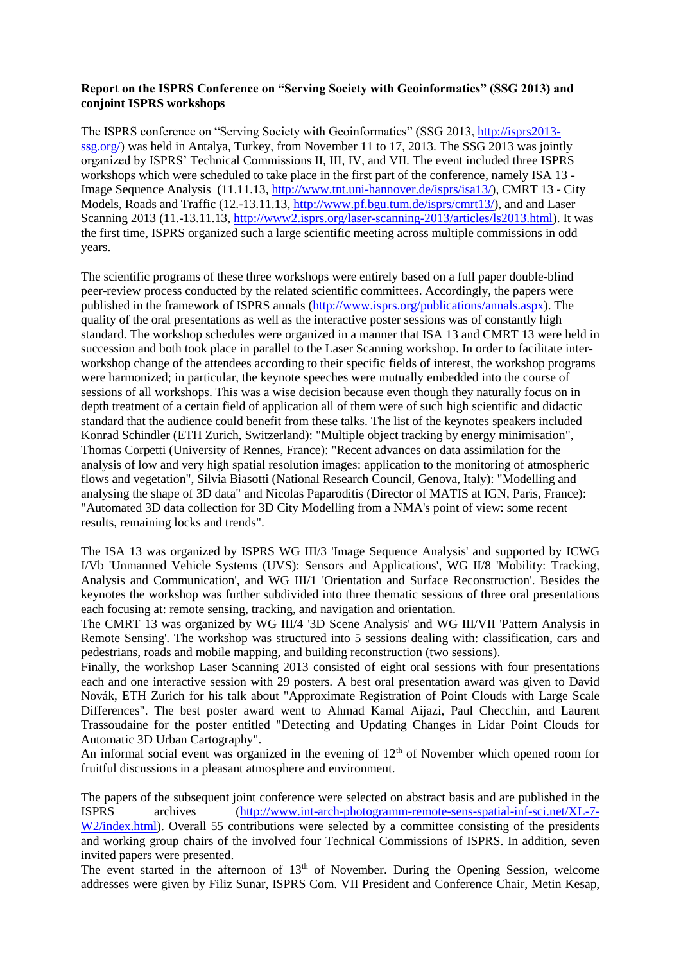## **Report on the ISPRS Conference on "Serving Society with Geoinformatics" (SSG 2013) and conjoint ISPRS workshops**

The ISPRS conference on "Serving Society with Geoinformatics" (SSG 2013[, http://isprs2013](http://isprs2013-ssg.org/) [ssg.org/\)](http://isprs2013-ssg.org/) was held in Antalya, Turkey, from November 11 to 17, 2013. The SSG 2013 was jointly organized by ISPRS' Technical Commissions II, III, IV, and VII. The event included three ISPRS workshops which were scheduled to take place in the first part of the conference, namely ISA 13 - Image Sequence Analysis (11.11.13[, http://www.tnt.uni-hannover.de/isprs/isa13/\)](http://www.tnt.uni-hannover.de/isprs/isa13/), CMRT 13 - City Models, Roads and Traffic (12.-13.11.13, [http://www.pf.bgu.tum.de/isprs/cmrt13/\)](http://www.pf.bgu.tum.de/isprs/cmrt13/), and and Laser Scanning 2013 (11.-13.11.13, [http://www2.isprs.org/laser-scanning-2013/articles/ls2013.html\)](http://www2.isprs.org/laser-scanning-2013/articles/ls2013.html). It was the first time, ISPRS organized such a large scientific meeting across multiple commissions in odd years.

The scientific programs of these three workshops were entirely based on a full paper double-blind peer-review process conducted by the related scientific committees. Accordingly, the papers were published in the framework of ISPRS annals [\(http://www.isprs.org/publications/annals.aspx\)](http://www.isprs.org/publications/annals.aspx). The quality of the oral presentations as well as the interactive poster sessions was of constantly high standard. The workshop schedules were organized in a manner that ISA 13 and CMRT 13 were held in succession and both took place in parallel to the Laser Scanning workshop. In order to facilitate interworkshop change of the attendees according to their specific fields of interest, the workshop programs were harmonized; in particular, the keynote speeches were mutually embedded into the course of sessions of all workshops. This was a wise decision because even though they naturally focus on in depth treatment of a certain field of application all of them were of such high scientific and didactic standard that the audience could benefit from these talks. The list of the keynotes speakers included Konrad Schindler (ETH Zurich, Switzerland): "Multiple object tracking by energy minimisation", Thomas Corpetti (University of Rennes, France): "Recent advances on data assimilation for the analysis of low and very high spatial resolution images: application to the monitoring of atmospheric flows and vegetation", Silvia Biasotti (National Research Council, Genova, Italy): "Modelling and analysing the shape of 3D data" and Nicolas Paparoditis (Director of MATIS at IGN, Paris, France): "Automated 3D data collection for 3D City Modelling from a NMA's point of view: some recent results, remaining locks and trends".

The ISA 13 was organized by ISPRS WG III/3 'Image Sequence Analysis' and supported by ICWG I/Vb 'Unmanned Vehicle Systems (UVS): Sensors and Applications', WG II/8 'Mobility: Tracking, Analysis and Communication', and WG III/1 'Orientation and Surface Reconstruction'. Besides the keynotes the workshop was further subdivided into three thematic sessions of three oral presentations each focusing at: remote sensing, tracking, and navigation and orientation.

The CMRT 13 was organized by WG III/4 '3D Scene Analysis' and WG III/VII 'Pattern Analysis in Remote Sensing'. The workshop was structured into 5 sessions dealing with: classification, cars and pedestrians, roads and mobile mapping, and building reconstruction (two sessions).

Finally, the workshop Laser Scanning 2013 consisted of eight oral sessions with four presentations each and one interactive session with 29 posters. A best oral presentation award was given to David Novák, ETH Zurich for his talk about "Approximate Registration of Point Clouds with Large Scale Differences". The best poster award went to Ahmad Kamal Aijazi, Paul Checchin, and Laurent Trassoudaine for the poster entitled "Detecting and Updating Changes in Lidar Point Clouds for Automatic 3D Urban Cartography".

An informal social event was organized in the evening of  $12<sup>th</sup>$  of November which opened room for fruitful discussions in a pleasant atmosphere and environment.

The papers of the subsequent joint conference were selected on abstract basis and are published in the ISPRS archives [\(http://www.int-arch-photogramm-remote-sens-spatial-inf-sci.net/XL-7-](http://www.int-arch-photogramm-remote-sens-spatial-inf-sci.net/XL-7-W2/index.html) W<sub>2</sub>/index.html). Overall 55 contributions were selected by a committee consisting of the presidents and working group chairs of the involved four Technical Commissions of ISPRS. In addition, seven invited papers were presented.

The event started in the afternoon of  $13<sup>th</sup>$  of November. During the Opening Session, welcome addresses were given by Filiz Sunar, ISPRS Com. VII President and Conference Chair, Metin Kesap,